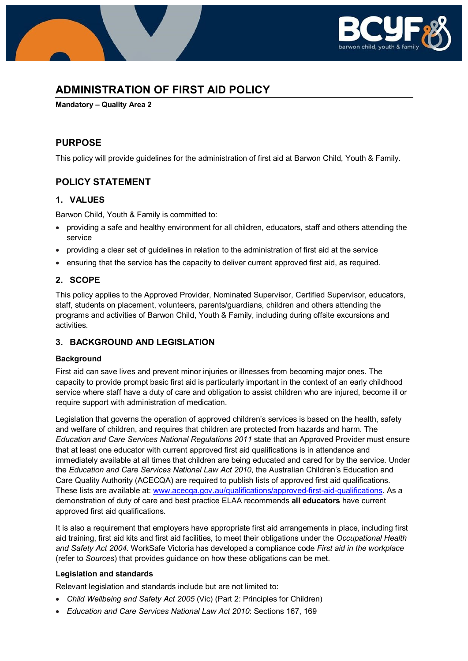

# **ADMINISTRATION OF FIRST AID POLICY**

**Mandatory – Quality Area 2**

## **PURPOSE**

This policy will provide guidelines for the administration of first aid at Barwon Child, Youth & Family.

## **POLICY STATEMENT**

### **1. VALUES**

Barwon Child, Youth & Family is committed to:

- providing a safe and healthy environment for all children, educators, staff and others attending the service
- providing a clear set of guidelines in relation to the administration of first aid at the service
- ensuring that the service has the capacity to deliver current approved first aid, as required.

## **2. SCOPE**

This policy applies to the Approved Provider, Nominated Supervisor, Certified Supervisor, educators, staff, students on placement, volunteers, parents/guardians, children and others attending the programs and activities of Barwon Child, Youth & Family, including during offsite excursions and activities.

### **3. BACKGROUND AND LEGISLATION**

#### **Background**

First aid can save lives and prevent minor injuries or illnesses from becoming major ones. The capacity to provide prompt basic first aid is particularly important in the context of an early childhood service where staff have a duty of care and obligation to assist children who are injured, become ill or require support with administration of medication.

Legislation that governs the operation of approved children's services is based on the health, safety and welfare of children, and requires that children are protected from hazards and harm. The *Education and Care Services National Regulations 2011* state that an Approved Provider must ensure that at least one educator with current approved first aid qualifications is in attendance and immediately available at all times that children are being educated and cared for by the service. Under the *Education and Care Services National Law Act 2010*, the Australian Children's Education and Care Quality Authority (ACECQA) are required to publish lists of approved first aid qualifications. These lists are available at: [www.acecqa.gov.au/qualifications/approved-first-aid-qualifications.](http://www.acecqa.gov.au/qualifications/approved-first-aid-qualifications) As a demonstration of duty of care and best practice ELAA recommends **all educators** have current approved first aid qualifications.

It is also a requirement that employers have appropriate first aid arrangements in place, including first aid training, first aid kits and first aid facilities, to meet their obligations under the *Occupational Health and Safety Act 2004.* WorkSafe Victoria has developed a compliance code *First aid in the workplace*  (refer to *Sources*) that provides guidance on how these obligations can be met.

#### **Legislation and standards**

Relevant legislation and standards include but are not limited to:

- *Child Wellbeing and Safety Act 2005* (Vic) (Part 2: Principles for Children)
- *Education and Care Services National Law Act 2010*: Sections 167, 169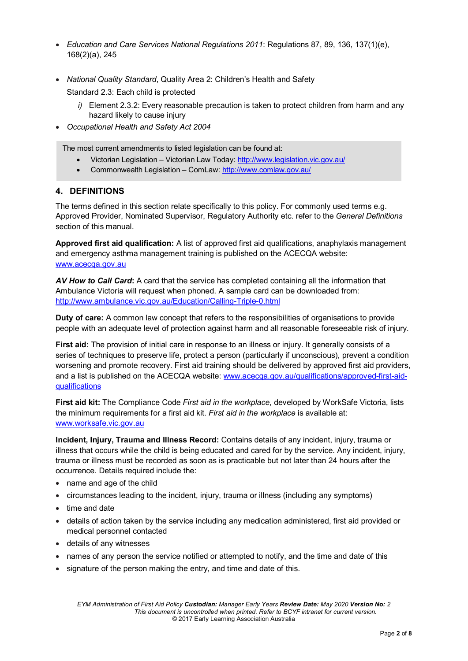- *Education and Care Services National Regulations 2011*: Regulations 87, 89, 136, 137(1)(e), 168(2)(a), 245
- *National Quality Standard*, Quality Area 2: Children's Health and Safety Standard 2.3: Each child is protected
	- *i)* Element 2.3.2: Every reasonable precaution is taken to protect children from harm and any hazard likely to cause injury
- *Occupational Health and Safety Act 2004*

The most current amendments to listed legislation can be found at:

- Victorian Legislation Victorian Law Today:<http://www.legislation.vic.gov.au/>
- Commonwealth Legislation ComLaw:<http://www.comlaw.gov.au/>

### **4. DEFINITIONS**

The terms defined in this section relate specifically to this policy. For commonly used terms e.g. Approved Provider, Nominated Supervisor, Regulatory Authority etc. refer to the *General Definitions* section of this manual.

**Approved first aid qualification:** A list of approved first aid qualifications, anaphylaxis management and emergency asthma management training is published on the ACECQA website: [www.acecqa.gov.au](http://www.acecqa.gov.au/)

*AV How to Call Card***:** A card that the service has completed containing all the information that Ambulance Victoria will request when phoned. A sample card can be downloaded from: <http://www.ambulance.vic.gov.au/Education/Calling-Triple-0.html>

**Duty of care:** A common law concept that refers to the responsibilities of organisations to provide people with an adequate level of protection against harm and all reasonable foreseeable risk of injury.

**First aid:** The provision of initial care in response to an illness or injury. It generally consists of a series of techniques to preserve life, protect a person (particularly if unconscious), prevent a condition worsening and promote recovery. First aid training should be delivered by approved first aid providers, and a list is published on the ACECQA website: [www.acecqa.gov.au/qualifications/approved-first-aid](http://www.acecqa.gov.au/qualifications/approved-first-aid-qualifications)[qualifications](http://www.acecqa.gov.au/qualifications/approved-first-aid-qualifications)

**First aid kit:** The Compliance Code *First aid in the workplace*, developed by WorkSafe Victoria, lists the minimum requirements for a first aid kit. *First aid in the workplace* is available at: [www.worksafe.vic.gov.au](http://www.worksafe.vic.gov.au/)

**Incident, Injury, Trauma and Illness Record:** Contains details of any incident, injury, trauma or illness that occurs while the child is being educated and cared for by the service. Any incident, injury, trauma or illness must be recorded as soon as is practicable but not later than 24 hours after the occurrence. Details required include the:

- name and age of the child
- circumstances leading to the incident, injury, trauma or illness (including any symptoms)
- time and date
- details of action taken by the service including any medication administered, first aid provided or medical personnel contacted
- details of any witnesses
- names of any person the service notified or attempted to notify, and the time and date of this
- signature of the person making the entry, and time and date of this.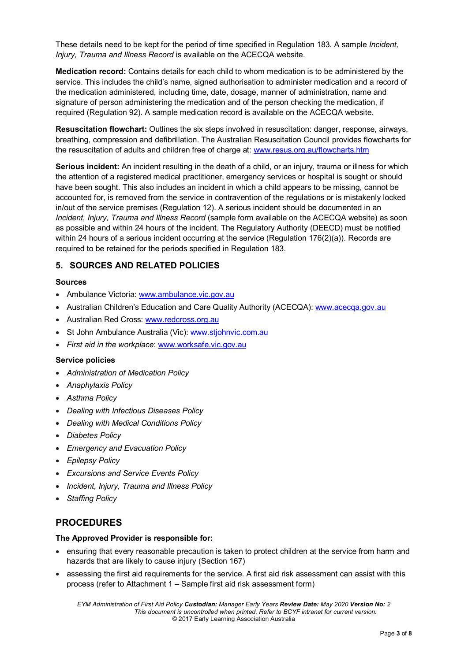These details need to be kept for the period of time specified in Regulation 183. A sample *Incident, Injury, Trauma and Illness Record* is available on the ACECQA website.

**Medication record:** Contains details for each child to whom medication is to be administered by the service. This includes the child's name, signed authorisation to administer medication and a record of the medication administered, including time, date, dosage, manner of administration, name and signature of person administering the medication and of the person checking the medication, if required (Regulation 92). A sample medication record is available on the ACECQA website.

**Resuscitation flowchart:** Outlines the six steps involved in resuscitation: danger, response, airways, breathing, compression and defibrillation. The Australian Resuscitation Council provides flowcharts for the resuscitation of adults and children free of charge at: [www.resus.org.au/flowcharts.htm](http://www.resus.org.au/flowcharts.htm)

**Serious incident:** An incident resulting in the death of a child, or an injury, trauma or illness for which the attention of a registered medical practitioner, emergency services or hospital is sought or should have been sought. This also includes an incident in which a child appears to be missing, cannot be accounted for, is removed from the service in contravention of the regulations or is mistakenly locked in/out of the service premises (Regulation 12). A serious incident should be documented in an *Incident, Injury, Trauma and Illness Record* (sample form available on the ACECQA website) as soon as possible and within 24 hours of the incident. The Regulatory Authority (DEECD) must be notified within 24 hours of a serious incident occurring at the service (Regulation 176(2)(a)). Records are required to be retained for the periods specified in Regulation 183.

### **5. SOURCES AND RELATED POLICIES**

#### **Sources**

- Ambulance Victoria: [www.ambulance.vic.gov.au](http://www.ambulance.vic.gov.au/)
- Australian Children's Education and Care Quality Authority (ACECQA): [www.acecqa.gov.au](http://www.acecqa.gov.au/)
- Australian Red Cross: [www.redcross.org.au](http://www.redcross.org.au/)
- St John Ambulance Australia (Vic): [www.stjohnvic.com.au](http://www.stjohnvic.com.au/)
- *First aid in the workplace*: [www.worksafe.vic.gov.au](http://www.worksafe.vic.gov.au/)

#### **Service policies**

- *Administration of Medication Policy*
- *Anaphylaxis Policy*
- *Asthma Policy*
- *Dealing with Infectious Diseases Policy*
- *Dealing with Medical Conditions Policy*
- *Diabetes Policy*
- *Emergency and Evacuation Policy*
- *Epilepsy Policy*
- *Excursions and Service Events Policy*
- *Incident, Injury, Trauma and Illness Policy*
- *Staffing Policy*

### **PROCEDURES**

#### **The Approved Provider is responsible for:**

- ensuring that every reasonable precaution is taken to protect children at the service from harm and hazards that are likely to cause injury (Section 167)
- assessing the first aid requirements for the service. A first aid risk assessment can assist with this process (refer to Attachment 1 – Sample first aid risk assessment form)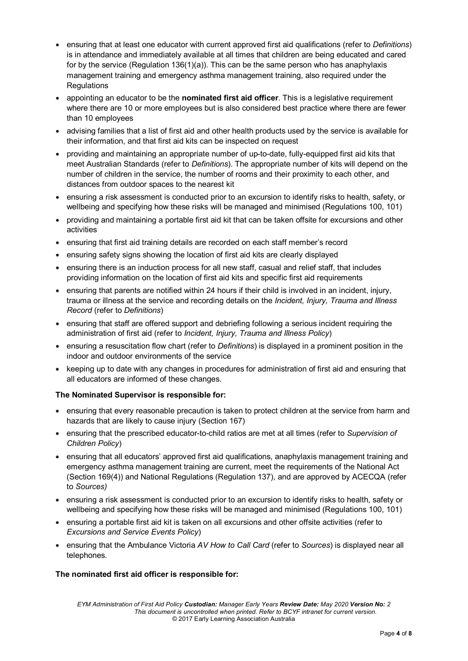- ensuring that at least one educator with current approved first aid qualifications (refer to *Definitions*) is in attendance and immediately available at all times that children are being educated and cared for by the service (Regulation 136(1)(a)). This can be the same person who has anaphylaxis management training and emergency asthma management training, also required under the **Regulations**
- appointing an educator to be the **nominated first aid officer**. This is a legislative requirement where there are 10 or more employees but is also considered best practice where there are fewer than 10 employees
- advising families that a list of first aid and other health products used by the service is available for their information, and that first aid kits can be inspected on request
- providing and maintaining an appropriate number of up-to-date, fully-equipped first aid kits that meet Australian Standards (refer to *Definitions*). The appropriate number of kits will depend on the number of children in the service, the number of rooms and their proximity to each other, and distances from outdoor spaces to the nearest kit
- ensuring a risk assessment is conducted prior to an excursion to identify risks to health, safety, or wellbeing and specifying how these risks will be managed and minimised (Regulations 100, 101)
- providing and maintaining a portable first aid kit that can be taken offsite for excursions and other activities
- ensuring that first aid training details are recorded on each staff member's record
- ensuring safety signs showing the location of first aid kits are clearly displayed
- ensuring there is an induction process for all new staff, casual and relief staff, that includes providing information on the location of first aid kits and specific first aid requirements
- ensuring that parents are notified within 24 hours if their child is involved in an incident, injury, trauma or illness at the service and recording details on the *Incident, Injury, Trauma and Illness Record* (refer to *Definitions*)
- ensuring that staff are offered support and debriefing following a serious incident requiring the administration of first aid (refer to *Incident, Injury, Trauma and Illness Policy*)
- ensuring a resuscitation flow chart (refer to *Definitions*) is displayed in a prominent position in the indoor and outdoor environments of the service
- keeping up to date with any changes in procedures for administration of first aid and ensuring that all educators are informed of these changes.

#### **The Nominated Supervisor is responsible for:**

- ensuring that every reasonable precaution is taken to protect children at the service from harm and hazards that are likely to cause injury (Section 167)
- ensuring that the prescribed educator-to-child ratios are met at all times (refer to *Supervision of Children Policy*)
- ensuring that all educators' approved first aid qualifications, anaphylaxis management training and emergency asthma management training are current, meet the requirements of the National Act (Section 169(4)) and National Regulations (Regulation 137), and are approved by ACECQA (refer to *Sources)*
- ensuring a risk assessment is conducted prior to an excursion to identify risks to health, safety or wellbeing and specifying how these risks will be managed and minimised (Regulations 100, 101)
- ensuring a portable first aid kit is taken on all excursions and other offsite activities (refer to *Excursions and Service Events Policy*)
- ensuring that the Ambulance Victoria *AV How to Call Card* (refer to *Sources*) is displayed near all telephones.

#### **The nominated first aid officer is responsible for:**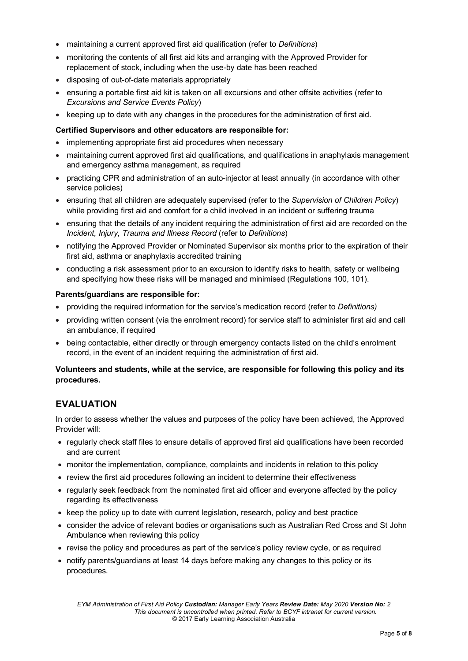- maintaining a current approved first aid qualification (refer to *Definitions*)
- monitoring the contents of all first aid kits and arranging with the Approved Provider for replacement of stock, including when the use-by date has been reached
- disposing of out-of-date materials appropriately
- ensuring a portable first aid kit is taken on all excursions and other offsite activities (refer to *Excursions and Service Events Policy*)
- keeping up to date with any changes in the procedures for the administration of first aid.

### **Certified Supervisors and other educators are responsible for:**

- implementing appropriate first aid procedures when necessary
- maintaining current approved first aid qualifications, and qualifications in anaphylaxis management and emergency asthma management, as required
- practicing CPR and administration of an auto-injector at least annually (in accordance with other service policies)
- ensuring that all children are adequately supervised (refer to the *Supervision of Children Policy*) while providing first aid and comfort for a child involved in an incident or suffering trauma
- ensuring that the details of any incident requiring the administration of first aid are recorded on the *Incident, Injury, Trauma and Illness Record* (refer to *Definitions*)
- notifying the Approved Provider or Nominated Supervisor six months prior to the expiration of their first aid, asthma or anaphylaxis accredited training
- conducting a risk assessment prior to an excursion to identify risks to health, safety or wellbeing and specifying how these risks will be managed and minimised (Regulations 100, 101).

### **Parents/guardians are responsible for:**

- providing the required information for the service's medication record (refer to *Definitions)*
- providing written consent (via the enrolment record) for service staff to administer first aid and call an ambulance, if required
- being contactable, either directly or through emergency contacts listed on the child's enrolment record, in the event of an incident requiring the administration of first aid.

### **Volunteers and students, while at the service, are responsible for following this policy and its procedures.**

## **EVALUATION**

In order to assess whether the values and purposes of the policy have been achieved, the Approved Provider will:

- regularly check staff files to ensure details of approved first aid qualifications have been recorded and are current
- monitor the implementation, compliance, complaints and incidents in relation to this policy
- review the first aid procedures following an incident to determine their effectiveness
- regularly seek feedback from the nominated first aid officer and everyone affected by the policy regarding its effectiveness
- keep the policy up to date with current legislation, research, policy and best practice
- consider the advice of relevant bodies or organisations such as Australian Red Cross and St John Ambulance when reviewing this policy
- revise the policy and procedures as part of the service's policy review cycle, or as required
- notify parents/guardians at least 14 days before making any changes to this policy or its procedures.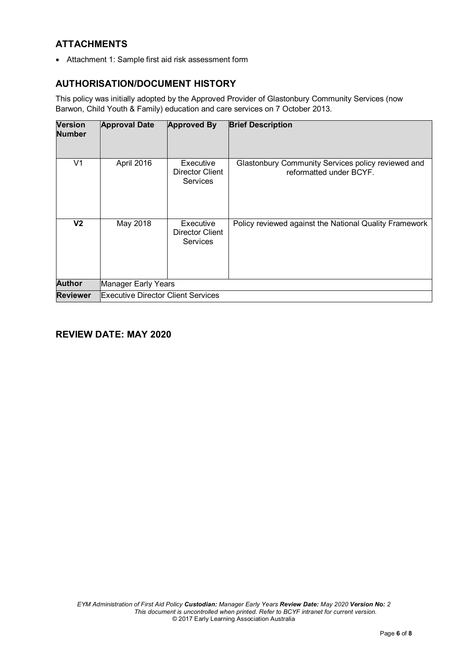## **ATTACHMENTS**

• Attachment 1: Sample first aid risk assessment form

## **AUTHORISATION/DOCUMENT HISTORY**

This policy was initially adopted by the Approved Provider of Glastonbury Community Services (now Barwon, Child Youth & Family) education and care services on 7 October 2013.

| <b>Version</b><br><b>Number</b> | <b>Approval Date</b>                      | <b>Approved By</b>                              | <b>Brief Description</b>                                                      |
|---------------------------------|-------------------------------------------|-------------------------------------------------|-------------------------------------------------------------------------------|
| V1                              | April 2016                                | Executive<br>Director Client<br><b>Services</b> | Glastonbury Community Services policy reviewed and<br>reformatted under BCYF. |
| V <sub>2</sub>                  | May 2018                                  | Executive<br>Director Client<br><b>Services</b> | Policy reviewed against the National Quality Framework                        |
| <b>Author</b>                   | Manager Early Years                       |                                                 |                                                                               |
| <b>Reviewer</b>                 | <b>Executive Director Client Services</b> |                                                 |                                                                               |

## **REVIEW DATE: MAY 2020**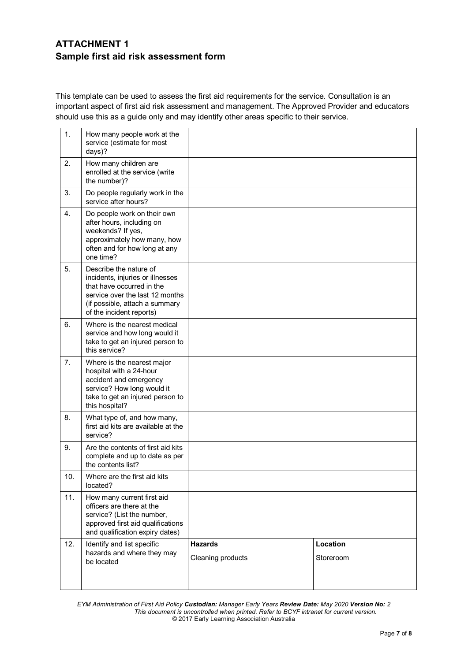## **ATTACHMENT 1 Sample first aid risk assessment form**

This template can be used to assess the first aid requirements for the service. Consultation is an important aspect of first aid risk assessment and management. The Approved Provider and educators should use this as a guide only and may identify other areas specific to their service.

| 1.  | How many people work at the<br>service (estimate for most<br>days)?                                                                                                                      |                                     |                       |
|-----|------------------------------------------------------------------------------------------------------------------------------------------------------------------------------------------|-------------------------------------|-----------------------|
| 2.  | How many children are<br>enrolled at the service (write<br>the number)?                                                                                                                  |                                     |                       |
| 3.  | Do people regularly work in the<br>service after hours?                                                                                                                                  |                                     |                       |
| 4.  | Do people work on their own<br>after hours, including on<br>weekends? If yes,<br>approximately how many, how<br>often and for how long at any<br>one time?                               |                                     |                       |
| 5.  | Describe the nature of<br>incidents, injuries or illnesses<br>that have occurred in the<br>service over the last 12 months<br>(if possible, attach a summary<br>of the incident reports) |                                     |                       |
| 6.  | Where is the nearest medical<br>service and how long would it<br>take to get an injured person to<br>this service?                                                                       |                                     |                       |
| 7.  | Where is the nearest major<br>hospital with a 24-hour<br>accident and emergency<br>service? How long would it<br>take to get an injured person to<br>this hospital?                      |                                     |                       |
| 8.  | What type of, and how many,<br>first aid kits are available at the<br>service?                                                                                                           |                                     |                       |
| 9.  | Are the contents of first aid kits<br>complete and up to date as per<br>the contents list?                                                                                               |                                     |                       |
| 10. | Where are the first aid kits<br>located?                                                                                                                                                 |                                     |                       |
| 11. | How many current first aid<br>officers are there at the<br>service? (List the number,<br>approved first aid qualifications<br>and qualification expiry dates)                            |                                     |                       |
| 12. | Identify and list specific<br>hazards and where they may<br>be located                                                                                                                   | <b>Hazards</b><br>Cleaning products | Location<br>Storeroom |

*EYM Administration of First Aid Policy Custodian: Manager Early Years Review Date: May 2020 Version No: 2 This document is uncontrolled when printed. Refer to BCYF intranet for current version.* © 2017 Early Learning Association Australia